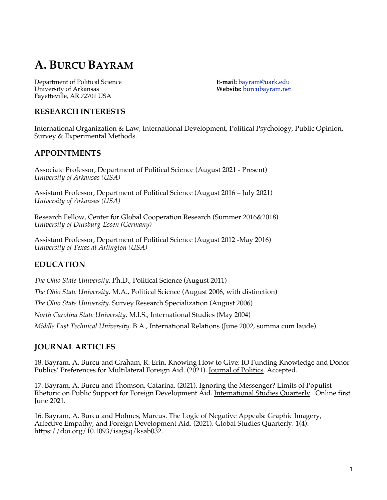# **A. BURCU BAYRAM**

Department of Political Science **E-mail:** bayram@uark.edu Fayetteville, AR 72701 USA

**Website:** burcubayram.net

### **RESEARCH INTERESTS**

International Organization & Law, International Development, Political Psychology, Public Opinion, Survey & Experimental Methods.

### **APPOINTMENTS**

Associate Professor, Department of Political Science (August 2021 - Present) *University of Arkansas (USA)*

Assistant Professor, Department of Political Science (August 2016 – July 2021) *University of Arkansas (USA)*

Research Fellow, Center for Global Cooperation Research (Summer 2016&2018) *University of Duisburg-Essen (Germany)*

Assistant Professor, Department of Political Science (August 2012 -May 2016) *University of Texas at Arlington (USA)*

# **EDUCATION**

*The Ohio State University*. Ph.D., Political Science (August 2011) *The Ohio State University*. M.A., Political Science (August 2006, with distinction) *The Ohio State University*. Survey Research Specialization (August 2006) *North Carolina State University.* M.I.S., International Studies (May 2004) *Middle East Technical University.* B.A., International Relations (June 2002, summa cum laude)

# **JOURNAL ARTICLES**

18. Bayram, A. Burcu and Graham, R. Erin. Knowing How to Give: IO Funding Knowledge and Donor Publics' Preferences for Multilateral Foreign Aid. (2021). Journal of Politics. Accepted.

17. Bayram, A. Burcu and Thomson, Catarina. (2021). Ignoring the Messenger? Limits of Populist Rhetoric on Public Support for Foreign Development Aid. International Studies Quarterly. Online first June 2021.

16. Bayram, A. Burcu and Holmes, Marcus. The Logic of Negative Appeals: Graphic Imagery, Affective Empathy, and Foreign Development Aid. (2021). Global Studies Quarterly. 1(4): https://doi.org/10.1093/isagsq/ksab032.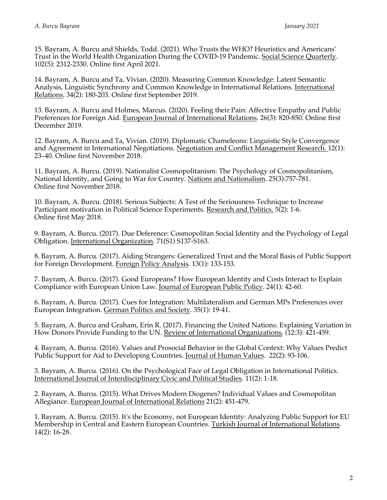15. Bayram, A. Burcu and Shields, Todd. (2021). Who Trusts the WHO? Heuristics and Americans' Trust in the World Health Organization During the COVID-19 Pandemic. Social Science Quarterly. 102(5): 2312-2330. Online first April 2021.

14. Bayram, A. Burcu and Ta, Vivian. (2020). Measuring Common Knowledge: Latent Semantic Analysis, Linguistic Synchrony and Common Knowledge in International Relations. International Relations. 34(2): 180-203. Online first September 2019.

13. Bayram, A. Burcu and Holmes, Marcus. (2020). Feeling their Pain: Affective Empathy and Public Preferences for Foreign Aid. European Journal of International Relations. 26(3): 820-850. Online first December 2019.

12. Bayram, A. Burcu and Ta, Vivian. (2019). Diplomatic Chameleons: Linguistic Style Convergence and Agreement in International Negotiations. Negotiation and Conflict Management Research. 12(1): 23–40. Online first November 2018.

11. Bayram, A. Burcu. (2019). Nationalist Cosmopolitanism: The Psychology of Cosmopolitanism, National Identity, and Going to War for Country. Nations and Nationalism. 25(3):757-781. Online first November 2018.

10. Bayram, A. Burcu. (2018). Serious Subjects: A Test of the Seriousness Technique to Increase Participant motivation in Political Science Experiments. Research and Politics. 5(2): 1-6. Online first May 2018.

9. Bayram, A. Burcu. (2017). Due Deference: Cosmopolitan Social Identity and the Psychology of Legal Obligation. International Organization. 71(S1) S137-S163.

8. Bayram, A. Burcu. (2017). Aiding Strangers: Generalized Trust and the Moral Basis of Public Support for Foreign Development. Foreign Policy Analysis*.* 13(1): 133-153.

7. Bayram, A. Burcu. (2017). Good Europeans? How European Identity and Costs Interact to Explain Compliance with European Union Law. Journal of European Public Policy. 24(1): 42-60.

6. Bayram, A. Burcu. (2017). Cues for Integration: Multilateralism and German MPs Preferences over European Integration. German Politics and Society. 35(1): 19-41.

5. Bayram, A. Burcu and Graham, Erin R. (2017). Financing the United Nations: Explaining Variation in How Donors Provide Funding to the UN. Review of International Organizations. (12:3): 421-459.

4. Bayram, A. Burcu. (2016). Values and Prosocial Behavior in the Global Context: Why Values Predict Public Support for Aid to Developing Countries. Journal of Human Values. 22(2): 93-106.

3. Bayram, A. Burcu. (2016). On the Psychological Face of Legal Obligation in International Politics. International Journal of Interdisciplinary Civic and Political Studies. 11(2): 1-18.

2. Bayram, A. Burcu. (2015). What Drives Modern Diogenes? Individual Values and Cosmopolitan Allegiance. European Journal of International Relations 21(2): 451-479.

1. Bayram, A. Burcu. (2015). It's the Economy, not European Identity: Analyzing Public Support for EU Membership in Central and Eastern European Countries. Turkish Journal of International Relations. 14(2): 16-28.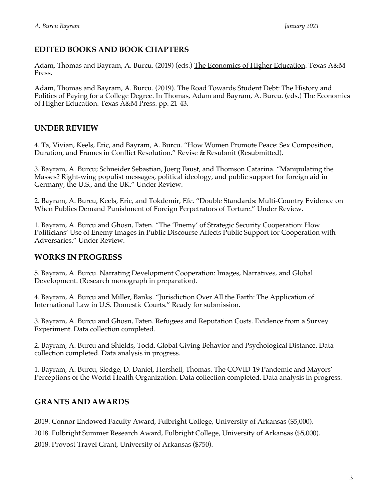# **EDITED BOOKS AND BOOK CHAPTERS**

Adam, Thomas and Bayram, A. Burcu. (2019) (eds.) The Economics of Higher Education. Texas A&M Press.

Adam, Thomas and Bayram, A. Burcu. (2019). The Road Towards Student Debt: The History and Politics of Paying for a College Degree. In Thomas, Adam and Bayram, A. Burcu. (eds.) The Economics of Higher Education. Texas A&M Press. pp. 21-43.

### **UNDER REVIEW**

4. Ta, Vivian, Keels, Eric, and Bayram, A. Burcu. "How Women Promote Peace: Sex Composition, Duration, and Frames in Conflict Resolution." Revise & Resubmit (Resubmitted).

3. Bayram, A. Burcu; Schneider Sebastian, Joerg Faust, and Thomson Catarina. "Manipulating the Masses? Right-wing populist messages, political ideology, and public support for foreign aid in Germany, the U.S., and the UK." Under Review.

2. Bayram, A. Burcu, Keels, Eric, and Tokdemir, Efe. "Double Standards: Multi-Country Evidence on When Publics Demand Punishment of Foreign Perpetrators of Torture." Under Review.

1. Bayram, A. Burcu and Ghosn, Faten. "The 'Enemy' of Strategic Security Cooperation: How Politicians' Use of Enemy Images in Public Discourse Affects Public Support for Cooperation with Adversaries." Under Review.

# **WORKS IN PROGRESS**

5. Bayram, A. Burcu. Narrating Development Cooperation: Images, Narratives, and Global Development. (Research monograph in preparation).

4. Bayram, A. Burcu and Miller, Banks. "Jurisdiction Over All the Earth: The Application of International Law in U.S. Domestic Courts." Ready for submission.

3. Bayram, A. Burcu and Ghosn, Faten. Refugees and Reputation Costs. Evidence from a Survey Experiment. Data collection completed.

2. Bayram, A. Burcu and Shields, Todd. Global Giving Behavior and Psychological Distance. Data collection completed. Data analysis in progress.

1. Bayram, A. Burcu, Sledge, D. Daniel, Hershell, Thomas. The COVID-19 Pandemic and Mayors' Perceptions of the World Health Organization. Data collection completed. Data analysis in progress.

# **GRANTS AND AWARDS**

2019. Connor Endowed Faculty Award, Fulbright College, University of Arkansas (\$5,000).

2018. Fulbright Summer Research Award, Fulbright College, University of Arkansas (\$5,000).

2018. Provost Travel Grant, University of Arkansas (\$750).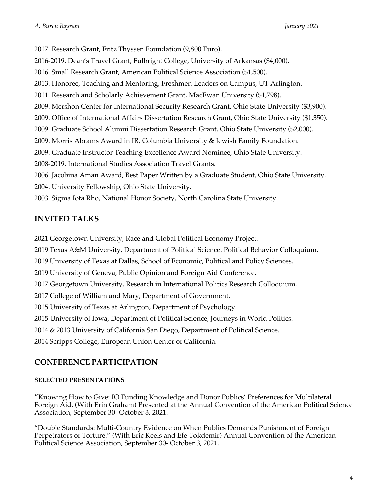2017. Research Grant, Fritz Thyssen Foundation (9,800 Euro). 2016-2019. Dean's Travel Grant, Fulbright College, University of Arkansas (\$4,000). 2016. Small Research Grant, American Political Science Association (\$1,500). 2013. Honoree, Teaching and Mentoring, Freshmen Leaders on Campus, UT Arlington. 2011. Research and Scholarly Achievement Grant, MacEwan University (\$1,798). 2009. Mershon Center for International Security Research Grant, Ohio State University (\$3,900). 2009. Office of International Affairs Dissertation Research Grant, Ohio State University (\$1,350). 2009. Graduate School Alumni Dissertation Research Grant, Ohio State University (\$2,000). 2009. Morris Abrams Award in IR, Columbia University & Jewish Family Foundation. 2009. Graduate Instructor Teaching Excellence Award Nominee, Ohio State University. 2008-2019. International Studies Association Travel Grants. 2006. Jacobina Aman Award, Best Paper Written by a Graduate Student, Ohio State University. 2004. University Fellowship, Ohio State University. 2003. Sigma Iota Rho, National Honor Society, North Carolina State University.

# **INVITED TALKS**

2021 Georgetown University, Race and Global Political Economy Project.

2019 Texas A&M University, Department of Political Science. Political Behavior Colloquium.

2019 University of Texas at Dallas, School of Economic, Political and Policy Sciences.

2019 University of Geneva, Public Opinion and Foreign Aid Conference.

2017 Georgetown University, Research in International Politics Research Colloquium.

2017 College of William and Mary, Department of Government.

2015 University of Texas at Arlington, Department of Psychology.

2015 University of Iowa, Department of Political Science, Journeys in World Politics.

2014 & 2013 University of California San Diego, Department of Political Science.

2014 Scripps College, European Union Center of California.

### **CONFERENCE PARTICIPATION**

#### **SELECTED PRESENTATIONS**

"Knowing How to Give: IO Funding Knowledge and Donor Publics' Preferences for Multilateral Foreign Aid. (With Erin Graham) Presented at the Annual Convention of the American Political Science Association, September 30- October 3, 2021.

"Double Standards: Multi-Country Evidence on When Publics Demands Punishment of Foreign Perpetrators of Torture." (With Eric Keels and Efe Tokdemir) Annual Convention of the American Political Science Association, September 30- October 3, 2021.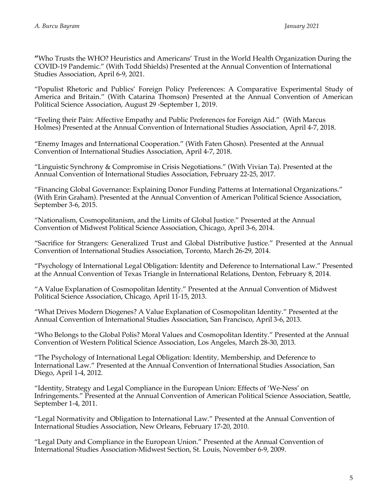**"**Who Trusts the WHO? Heuristics and Americans' Trust in the World Health Organization During the COVID-19 Pandemic." (With Todd Shields) Presented at the Annual Convention of International Studies Association, April 6-9, 2021.

"Populist Rhetoric and Publics' Foreign Policy Preferences: A Comparative Experimental Study of America and Britain." (With Catarina Thomson) Presented at the Annual Convention of American Political Science Association, August 29 -September 1, 2019.

"Feeling their Pain: Affective Empathy and Public Preferences for Foreign Aid." (With Marcus Holmes) Presented at the Annual Convention of International Studies Association, April 4-7, 2018.

"Enemy Images and International Cooperation." (With Faten Ghosn). Presented at the Annual Convention of International Studies Association, April 4-7, 2018.

"Linguistic Synchrony & Compromise in Crisis Negotiations." (With Vivian Ta). Presented at the Annual Convention of International Studies Association, February 22-25, 2017.

"Financing Global Governance: Explaining Donor Funding Patterns at International Organizations." (With Erin Graham). Presented at the Annual Convention of American Political Science Association, September 3-6, 2015.

"Nationalism, Cosmopolitanism, and the Limits of Global Justice." Presented at the Annual Convention of Midwest Political Science Association, Chicago, April 3-6, 2014.

"Sacrifice for Strangers: Generalized Trust and Global Distributive Justice." Presented at the Annual Convention of International Studies Association, Toronto, March 26-29, 2014.

"Psychology of International Legal Obligation: Identity and Deference to International Law." Presented at the Annual Convention of Texas Triangle in International Relations, Denton, February 8, 2014.

"A Value Explanation of Cosmopolitan Identity." Presented at the Annual Convention of Midwest Political Science Association, Chicago, April 11-15, 2013.

"What Drives Modern Diogenes? A Value Explanation of Cosmopolitan Identity." Presented at the Annual Convention of International Studies Association, San Francisco, April 3-6, 2013.

"Who Belongs to the Global Polis? Moral Values and Cosmopolitan Identity." Presented at the Annual Convention of Western Political Science Association, Los Angeles, March 28-30, 2013.

"The Psychology of International Legal Obligation: Identity, Membership, and Deference to International Law." Presented at the Annual Convention of International Studies Association, San Diego, April 1-4, 2012.

"Identity, Strategy and Legal Compliance in the European Union: Effects of 'We-Ness' on Infringements." Presented at the Annual Convention of American Political Science Association, Seattle, September 1-4, 2011.

"Legal Normativity and Obligation to International Law*.*" Presented at the Annual Convention of International Studies Association, New Orleans, February 17-20, 2010.

"Legal Duty and Compliance in the European Union." Presented at the Annual Convention of International Studies Association-Midwest Section, St. Louis, November 6-9, 2009.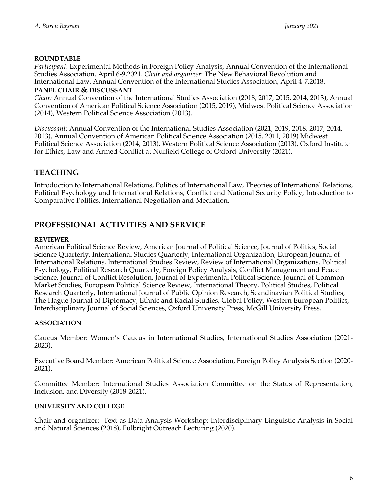### **ROUNDTABLE**

*Participant*: Experimental Methods in Foreign Policy Analysis, Annual Convention of the International Studies Association, April 6-9,2021. *Chair and organizer*: The New Behavioral Revolution and International Law. Annual Convention of the International Studies Association, April 4-7,2018.

#### **PANEL CHAIR & DISCUSSANT**

*Chair:* Annual Convention of the International Studies Association (2018, 2017, 2015, 2014, 2013), Annual Convention of American Political Science Association (2015, 2019), Midwest Political Science Association (2014), Western Political Science Association (2013).

*Discussant:* Annual Convention of the International Studies Association (2021, 2019, 2018, 2017, 2014, 2013), Annual Convention of American Political Science Association (2015, 2011, 2019) Midwest Political Science Association (2014, 2013), Western Political Science Association (2013), Oxford Institute for Ethics, Law and Armed Conflict at Nuffield College of Oxford University (2021).

# **TEACHING**

Introduction to International Relations, Politics of International Law, Theories of International Relations, Political Psychology and International Relations, Conflict and National Security Policy, Introduction to Comparative Politics, International Negotiation and Mediation.

# **PROFESSIONAL ACTIVITIES AND SERVICE**

#### **REVIEWER**

American Political Science Review, American Journal of Political Science, Journal of Politics, Social Science Quarterly, International Studies Quarterly, International Organization, European Journal of International Relations, International Studies Review, Review of International Organizations, Political Psychology, Political Research Quarterly, Foreign Policy Analysis, Conflict Management and Peace Science, Journal of Conflict Resolution, Journal of Experimental Political Science, Journal of Common Market Studies, European Political Science Review, International Theory, Political Studies, Political Research Quarterly, International Journal of Public Opinion Research, Scandinavian Political Studies, The Hague Journal of Diplomacy, Ethnic and Racial Studies, Global Policy, Western European Politics, Interdisciplinary Journal of Social Sciences, Oxford University Press, McGill University Press.

#### **ASSOCIATION**

Caucus Member: Women's Caucus in International Studies, International Studies Association (2021- 2023).

Executive Board Member: American Political Science Association, Foreign Policy Analysis Section (2020- 2021).

Committee Member: International Studies Association Committee on the Status of Representation, Inclusion, and Diversity (2018-2021).

#### **UNIVERSITY AND COLLEGE**

Chair and organizer: Text as Data Analysis Workshop: Interdisciplinary Linguistic Analysis in Social and Natural Sciences (2018), Fulbright Outreach Lecturing (2020).